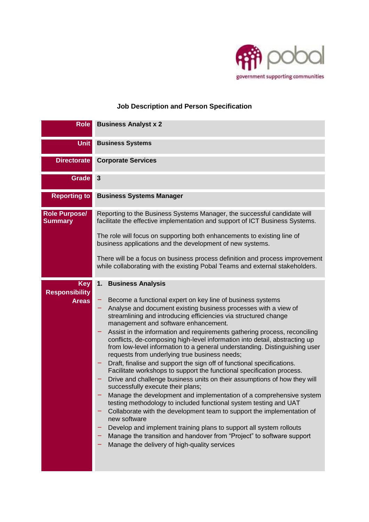

# **Job Description and Person Specification**

| <b>Role</b>                                         | <b>Business Analyst x 2</b>                                                                                                                                                                                                                                                                                                                                                                                                                                                                                                                                                                                                                                                                                                                                                                                                                                                                                                                                                                                                                                                                                                                                                                                                                                                         |
|-----------------------------------------------------|-------------------------------------------------------------------------------------------------------------------------------------------------------------------------------------------------------------------------------------------------------------------------------------------------------------------------------------------------------------------------------------------------------------------------------------------------------------------------------------------------------------------------------------------------------------------------------------------------------------------------------------------------------------------------------------------------------------------------------------------------------------------------------------------------------------------------------------------------------------------------------------------------------------------------------------------------------------------------------------------------------------------------------------------------------------------------------------------------------------------------------------------------------------------------------------------------------------------------------------------------------------------------------------|
| <b>Unit</b>                                         | <b>Business Systems</b>                                                                                                                                                                                                                                                                                                                                                                                                                                                                                                                                                                                                                                                                                                                                                                                                                                                                                                                                                                                                                                                                                                                                                                                                                                                             |
| <b>Directorate</b>                                  | <b>Corporate Services</b>                                                                                                                                                                                                                                                                                                                                                                                                                                                                                                                                                                                                                                                                                                                                                                                                                                                                                                                                                                                                                                                                                                                                                                                                                                                           |
| <b>Grade</b>                                        | 3                                                                                                                                                                                                                                                                                                                                                                                                                                                                                                                                                                                                                                                                                                                                                                                                                                                                                                                                                                                                                                                                                                                                                                                                                                                                                   |
| <b>Reporting to</b>                                 | <b>Business Systems Manager</b>                                                                                                                                                                                                                                                                                                                                                                                                                                                                                                                                                                                                                                                                                                                                                                                                                                                                                                                                                                                                                                                                                                                                                                                                                                                     |
| <b>Role Purpose/</b><br><b>Summary</b>              | Reporting to the Business Systems Manager, the successful candidate will<br>facilitate the effective implementation and support of ICT Business Systems.<br>The role will focus on supporting both enhancements to existing line of<br>business applications and the development of new systems.<br>There will be a focus on business process definition and process improvement<br>while collaborating with the existing Pobal Teams and external stakeholders.                                                                                                                                                                                                                                                                                                                                                                                                                                                                                                                                                                                                                                                                                                                                                                                                                    |
| <b>Key</b><br><b>Responsibility</b><br><b>Areas</b> | <b>Business Analysis</b><br>1.<br>Become a functional expert on key line of business systems<br>Analyse and document existing business processes with a view of<br>streamlining and introducing efficiencies via structured change<br>management and software enhancement.<br>Assist in the information and requirements gathering process, reconciling<br>-<br>conflicts, de-composing high-level information into detail, abstracting up<br>from low-level information to a general understanding. Distinguishing user<br>requests from underlying true business needs;<br>Draft, finalise and support the sign off of functional specifications.<br>Facilitate workshops to support the functional specification process.<br>Drive and challenge business units on their assumptions of how they will<br>successfully execute their plans;<br>Manage the development and implementation of a comprehensive system<br>testing methodology to included functional system testing and UAT<br>Collaborate with the development team to support the implementation of<br>new software<br>Develop and implement training plans to support all system rollouts<br>Manage the transition and handover from "Project" to software support<br>Manage the delivery of high-quality services |

٠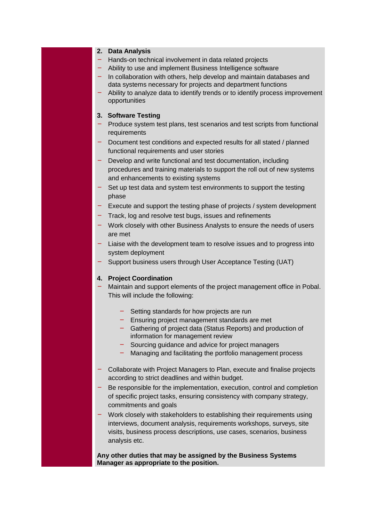### **2. Data Analysis**

- Hands-on technical involvement in data related projects
- Ability to use and implement Business Intelligence software
- In collaboration with others, help develop and maintain databases and data systems necessary for projects and department functions
- Ability to analyze data to identify trends or to identify process improvement opportunities

### **3. Software Testing**

- Produce system test plans, test scenarios and test scripts from functional requirements
- Document test conditions and expected results for all stated / planned functional requirements and user stories
- Develop and write functional and test documentation, including procedures and training materials to support the roll out of new systems and enhancements to existing systems
- Set up test data and system test environments to support the testing phase
- $-$  Execute and support the testing phase of projects / system development
- Track, log and resolve test bugs, issues and refinements
- Work closely with other Business Analysts to ensure the needs of users are met
- Liaise with the development team to resolve issues and to progress into system deployment
- Support business users through User Acceptance Testing (UAT)

#### **4. Project Coordination**

- Maintain and support elements of the project management office in Pobal. This will include the following:
	- Setting standards for how projects are run
	- Ensuring project management standards are met
	- Gathering of project data (Status Reports) and production of information for management review
	- Sourcing guidance and advice for project managers
	- Managing and facilitating the portfolio management process
- Collaborate with Project Managers to Plan, execute and finalise projects according to strict deadlines and within budget.
- Be responsible for the implementation, execution, control and completion of specific project tasks, ensuring consistency with company strategy, commitments and goals
- Work closely with stakeholders to establishing their requirements using interviews, document analysis, requirements workshops, surveys, site visits, business process descriptions, use cases, scenarios, business analysis etc.

**Any other duties that may be assigned by the Business Systems Manager as appropriate to the position.**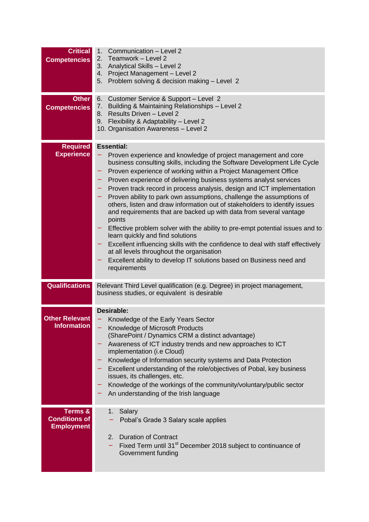| <b>Critical</b><br><b>Competencies</b>               | Communication - Level 2<br>1.<br>2. Teamwork - Level 2<br>Analytical Skills - Level 2<br>3.<br>4. Project Management - Level 2<br>Problem solving & decision making - Level 2<br>5.                                                                                                                                                                                                                                                                                                                                                                                                                                                                                                                                                                                                                                                                                                                                                                                        |
|------------------------------------------------------|----------------------------------------------------------------------------------------------------------------------------------------------------------------------------------------------------------------------------------------------------------------------------------------------------------------------------------------------------------------------------------------------------------------------------------------------------------------------------------------------------------------------------------------------------------------------------------------------------------------------------------------------------------------------------------------------------------------------------------------------------------------------------------------------------------------------------------------------------------------------------------------------------------------------------------------------------------------------------|
| <b>Other</b><br><b>Competencies</b>                  | Customer Service & Support - Level 2<br>6.<br>Building & Maintaining Relationships - Level 2<br>7.<br>Results Driven - Level 2<br>8. .<br>Flexibility & Adaptability - Level 2<br>10. Organisation Awareness - Level 2                                                                                                                                                                                                                                                                                                                                                                                                                                                                                                                                                                                                                                                                                                                                                     |
| <b>Required</b><br><b>Experience</b>                 | <b>Essential:</b><br>Proven experience and knowledge of project management and core<br>business consulting skills, including the Software Development Life Cycle<br>Proven experience of working within a Project Management Office<br>Proven experience of delivering business systems analyst services<br>Proven track record in process analysis, design and ICT implementation<br>Proven ability to park own assumptions, challenge the assumptions of<br>-<br>others, listen and draw information out of stakeholders to identify issues<br>and requirements that are backed up with data from several vantage<br>points<br>Effective problem solver with the ability to pre-empt potential issues and to<br>learn quickly and find solutions<br>Excellent influencing skills with the confidence to deal with staff effectively<br>at all levels throughout the organisation<br>Excellent ability to develop IT solutions based on Business need and<br>requirements |
| <b>Qualifications</b>                                | Relevant Third Level qualification (e.g. Degree) in project management,<br>business studies, or equivalent is desirable                                                                                                                                                                                                                                                                                                                                                                                                                                                                                                                                                                                                                                                                                                                                                                                                                                                    |
| <b>Other Relevant</b><br><b>Information</b>          | Desirable:<br>Knowledge of the Early Years Sector<br>Knowledge of Microsoft Products<br>(SharePoint / Dynamics CRM a distinct advantage)<br>Awareness of ICT industry trends and new approaches to ICT<br>implementation (i.e Cloud)<br>Knowledge of Information security systems and Data Protection<br>Excellent understanding of the role/objectives of Pobal, key business<br>issues, its challenges, etc.<br>Knowledge of the workings of the community/voluntary/public sector<br>An understanding of the Irish language                                                                                                                                                                                                                                                                                                                                                                                                                                             |
| Terms &<br><b>Conditions of</b><br><b>Employment</b> | 1. Salary<br>Pobal's Grade 3 Salary scale applies<br>2. Duration of Contract<br>Fixed Term until 31 <sup>st</sup> December 2018 subject to continuance of<br>Government funding                                                                                                                                                                                                                                                                                                                                                                                                                                                                                                                                                                                                                                                                                                                                                                                            |